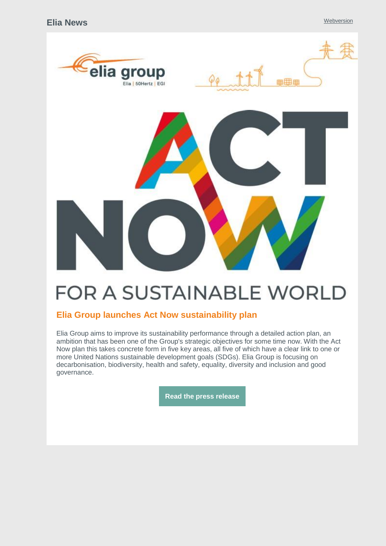

# **FOR A SUSTAINABLE WORLD**

## **Elia Group launches Act Now sustainability plan**

Elia Group aims to improve its sustainability performance through a detailed action plan, an ambition that has been one of the Group's strategic objectives for some time now. With the Act Now plan this takes concrete form in five key areas, all five of which have a clear link to one or more United Nations sustainable development goals (SDGs). Elia Group is focusing on decarbonisation, biodiversity, health and safety, equality, diversity and inclusion and good governance.

**Read the press [release](http://link.newsletters.elia.be/mm/LC_7309_1105939_0K9R8FQW9N97_49797_l9LW+eOpF5crxdWoKRe8xITPC-oEF+Cx3vEs6iDZXIQnQ6g0vUU15XtwbY-23cykMhwjdORZARFdNP3senbnACg5xay9USEAmSkKRWsQprD3u8KxxaSnMmB-5J8C9vFj5voPQv+SBG-xVDYwY3OeD4flfVxDDdOVZDXJRHE2vqjnD06DLRTnl7SKudK2+iBj.act)**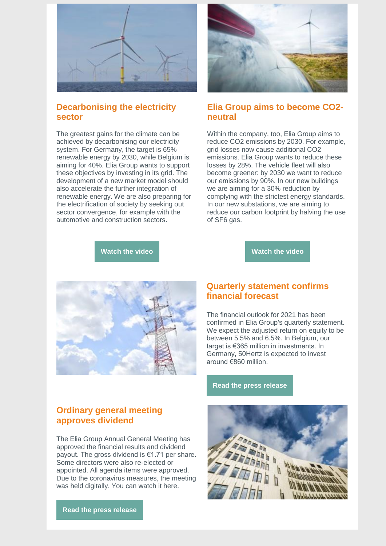

## **Decarbonising the electricity sector**

The greatest gains for the climate can be achieved by decarbonising our electricity system. For Germany, the target is 65% renewable energy by 2030, while Belgium is aiming for 40%. Elia Group wants to support these objectives by investing in its grid. The development of a new market model should also accelerate the further integration of renewable energy. We are also preparing for the electrification of society by seeking out sector convergence, for example with the automotive and construction sectors.



### **Elia Group aims to become CO2 neutral**

Within the company, too, Elia Group aims to reduce CO2 emissions by 2030. For example, grid losses now cause additional CO2 emissions. Elia Group wants to reduce these losses by 28%. The vehicle fleet will also become greener: by 2030 we want to reduce our emissions by 90%. In our new buildings we are aiming for a 30% reduction by complying with the strictest energy standards. In our new substations, we are aiming to reduce our carbon footprint by halving the use of SF6 gas.

**[Watch](http://link.newsletters.elia.be/mm/LC_7309_1105939_0K9R8FQW9N97_49799_ZI1SedSZa8DnOOBfYDd7shLOes3Sm54Pva3Q6apgwcbOtyV2DEOXVL2dPhzP0pNK4-1zSpffEFyNNz-cuvfqXw==.act) the video**





### **Ordinary general meeting approves dividend**

The Elia Group Annual General Meeting has approved the financial results and dividend payout. The gross dividend is €1.71 per share. Some directors were also re-elected or appointed. All agenda items were approved. Due to the coronavirus measures, the meeting was held digitally. You can watch it here.

**Read the press [release](http://link.newsletters.elia.be/mm/LC_7309_1105939_0K9R8FQW9N97_49801_-6HkiXCP1MYX1oI5QHS5LMZ54OhgvoTD+79c2J5S4QkWznKjQ4-wgAgLkOatqZkrpWc3qhLr+x7qkEQK2aXL3hg5nfJW5L7nJYcHzjnBUCFLirN2vMuaYHvrA+QrO28QUHqj3qJhvo4ZhqKctckH8Q==.act)**

### **Quarterly statement confirms financial forecast**

The financial outlook for 2021 has been confirmed in Elia Group's quarterly statement. We expect the adjusted return on equity to be between 5.5% and 6.5%. In Belgium, our target is €365 million in investments. In Germany, 50Hertz is expected to invest around €860 million.

#### **Read the press [release](http://link.newsletters.elia.be/mm/LC_7309_1105939_0K9R8FQW9N97_49800_4QQfofrdKPRUy+kthiVP6BOyMJkxptQToGMTT7gBro-mUePTxkuJuKnHzYOh0K8Oaa4rqLEl7XDZ5zFE39PWluTf9eQdcFh4D6LlJXUCOZ8pJKSk+-0VFJjso-fqclQJs2J8MS8xRC+naQlQRiOfNl2ZQMUsej79zT8ePLE-3cA=.act)**

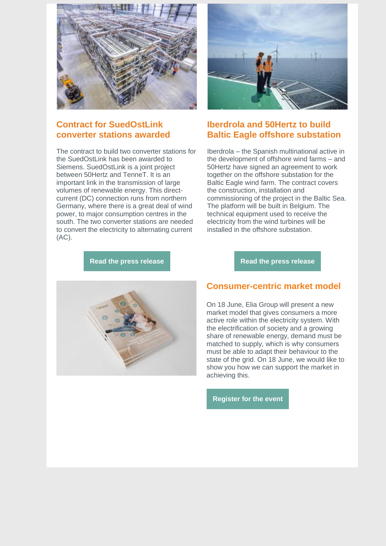

# **Contract for SuedOstLink converter stations awarded**

The contract to build two converter stations for the SuedOstLink has been awarded to Siemens. SuedOstLink is a joint project between 50Hertz and TenneT. It is an important link in the transmission of large volumes of renewable energy. This directcurrent (DC) connection runs from northern Germany, where there is a great deal of wind power, to major consumption centres in the south. The two converter stations are needed to convert the electricity to alternating current (AC).



## **Iberdrola and 50Hertz to build Baltic Eagle offshore substation**

Iberdrola – the Spanish multinational active in the development of offshore wind farms – and 50Hertz have signed an agreement to work together on the offshore substation for the Baltic Eagle wind farm. The contract covers the construction, installation and commissioning of the project in the Baltic Sea. The platform will be built in Belgium. The technical equipment used to receive the electricity from the wind turbines will be installed in the offshore substation.

**Read the press [release](http://link.newsletters.elia.be/mm/LC_7309_1105939_0K9R8FQW9N97_49798_p8QuiwgoPGGQOVxXIT+R8i7hfP7RAEq5vIQSjl8HRGfn12nfphG5ugMrQir9cwg65EJDdFZ8dX0Nyrv-jB-EZ3oEkyZaeiHYG8lXE710rQjQN0SWlvssPPERdfXo-6y9XpL8cHAtRld-JC6qHYyLubTZllLZrG9k7UrC+r8QcIKG-gSPvpOOuTJHRW5iWbzC.act)**



#### **Read the press [release](http://link.newsletters.elia.be/mm/LC_7309_1105939_0K9R8FQW9N97_49799_2Rc+ecyBcYBkoYJCvJjMQcc4z5sFiPamGoq1cjfyXo+zlVKBN9yrR8uK53nTZTPhuGn6wLkOtogITMRbbRcvBiPpd8Y5N8v6Hb8PGKVdx6ZpaJoO8Tr+AA-0IEkjJVcfX7uusYLJQLJVjOlJeAoGE4Ff7l5dTrwdiNjc1n-83U7XEYtf50JBn1LrJJBZFpylMDgEGkaEl84j8gKuG4Y6gYJp-Kufa9TCY0dyJL65epY=.act)**

#### **Consumer-centric market model**

On 18 June, Elia Group will present a new market model that gives consumers a more active role within the electricity system. With the electrification of society and a growing share of renewable energy, demand must be matched to supply, which is why consumers must be able to adapt their behaviour to the state of the grid. On 18 June, we would like to show you how we can support the market in achieving this.

**[Register](http://link.newsletters.elia.be/mm/LC_7309_1105939_0K9R8FQW9N97_49800_CoztrBJPaMff7E4p6J6wfL5uGxfLD1zlciEVcWXD5ELrhhh9qJgKjPQEhlsKFYBMEfXH-HlKhOmYGAM+817P8JrjWgQJfbiey5wnibftvcUbZbWAk9ibWCIM0u5dwgB7FC8P2rifvCVhXg6j4EqpdehU30PAPz20h-ZJ27QXFW0VVvfsWcr+XIUugmcPswi5wgNJGMHafndPWf+prUW-EV1wjBwzD-BurmJtWewqfA5KsAGCsp0BbXIOnD5eXq0QEruAlLz48H0lRfqX6+iX9mZA4t7htjvnQkgXj1OsCHE=.act) for the event**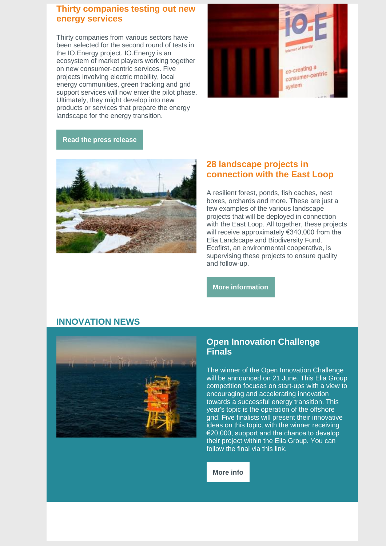#### **Thirty companies testing out new energy services**

Thirty companies from various sectors have been selected for the second round of tests in the IO.Energy project. IO.Energy is an ecosystem of market players working together on new consumer-centric services. Five projects involving electric mobility, local energy communities, green tracking and grid support services will now enter the pilot phase. Ultimately, they might develop into new products or services that prepare the energy landscape for the energy transition.



#### **Read the press [release](http://link.newsletters.elia.be/mm/LC_7309_1105939_0K9R8FQW9N97_49802_eaxZA2rYTZBOW5Q2b4FmTGtx0S3XML8reLaCw+q0xaYJxhlE8MuBAuaMvMqMU-Glp66-urYhoBgy5o-YkFC-4CO758kVwg6hLDVDvi394-Ux1YsbAKdU5Qu2bHKJL+DDtVnubeQPMXi4vm-2cVfywpOZpCd9-VbFoD-WCz2V8s8=.act)**



#### **28 landscape projects in connection with the East Loop**

A resilient forest, ponds, fish caches, nest boxes, orchards and more. These are just a few examples of the various landscape projects that will be deployed in connection with the East Loop. All together, these projects will receive approximately €340,000 from the Elia Landscape and Biodiversity Fund. Ecofirst, an environmental cooperative, is supervising these projects to ensure quality and follow-up.

**More [information](http://link.newsletters.elia.be/mm/LC_7309_1105939_0K9R8FQW9N97_49800_IZNEQnVwPmvYAvF-9LbueohvORd1d8za2MS6lJXSACHPDgA654kGNkfSQGacVSmUmgfLE6xDyB4++Jl-GO3-JSUpztwSBspmrksLWULREYJoEwG9K9AYG26QrGgNW3xDaTTQLkmLwrCX2FCv73G7JBxhaurmJpzpTda+mb9AaunbGPq-jaitrOLqy6Z+7Yx4Ozw1e98GAsLoJyDBM4ZGtsaJYBFPPwUl2e3F3qw8JAHiRhapuNS8cQPwao7Ad90z.act)**

## **INNOVATION NEWS**



#### **Open Innovation Challenge Finals**

The winner of the Open Innovation Challenge will be announced on 21 June. This Elia Group competition focuses on start-ups with a view to encouraging and accelerating innovation towards a successful energy transition. This year's topic is the operation of the offshore grid. Five finalists will present their innovative ideas on this topic, with the winner receiving €20,000, support and the chance to develop their project within the Elia Group. You can follow the final via this link.

**[More](http://link.newsletters.elia.be/mm/LC_7309_1105939_0K9R8FQW9N97_49803_C4MtHI2Jt6XuVKQ1l9ihYQZQZaVr2E-Az4aGJmwjxCBlRGi0u3akXQN0hXo0qncQ9auo2KdqKSAWbafOP4qojA==.act) info**